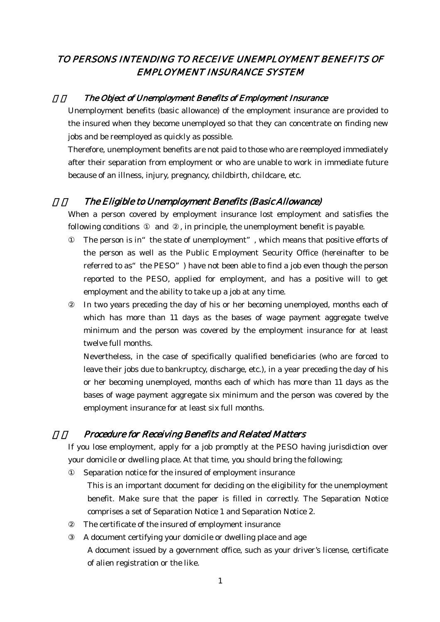# TO PERSONS INTENDING TO RECEIVE UNEMPLOYMENT BENEFITS OF EMPLOYMENT INSURANCE SYSTEM

## The Object of Unemployment Benefits of Employment Insurance

Unemployment benefits (basic allowance) of the employment insurance are provided to the insured when they become unemployed so that they can concentrate on finding new jobs and be reemployed as quickly as possible.

Therefore, unemployment benefits are not paid to those who are reemployed immediately after their separation from employment or who are unable to work in immediate future because of an illness, injury, pregnancy, childbirth, childcare, etc.

# 2. The Eligible to Unemployment Benefits (Basic Allowance)

When a person covered by employment insurance lost employment and satisfies the following conditions and , in principle, the unemployment benefit is payable.

The person is in" the state of unemployment", which means that positive efforts of the person as well as the Public Employment Security Office (hereinafter to be referred to as" the PESO") have not been able to find a job even though the person reported to the PESO, applied for employment, and has a positive will to get employment and the ability to take up a job at any time.

In two years preceding the day of his or her becoming unemployed, months each of which has more than 11 days as the bases of wage payment aggregate twelve minimum and the person was covered by the employment insurance for at least twelve full months.

Nevertheless, in the case of specifically qualified beneficiaries (who are forced to leave their jobs due to bankruptcy, discharge, etc.), in a year preceding the day of his or her becoming unemployed, months each of which has more than 11 days as the bases of wage payment aggregate six minimum and the person was covered by the employment insurance for at least six full months.

# 3. Procedure for Receiving Benefits and Related Matters

If you lose employment, apply for a job promptly at the PESO having jurisdiction over your domicile or dwelling place. At that time, you should bring the following;

Separation notice for the insured of employment insurance

 This is an important document for deciding on the eligibility for the unemployment benefit. Make sure that the paper is filled in correctly. The Separation Notice comprises a set of Separation Notice 1 and Separation Notice 2.

The certificate of the insured of employment insurance

A document certifying your domicile or dwelling place and age

 A document issued by a government office, such as your driver's license, certificate of alien registration or the like.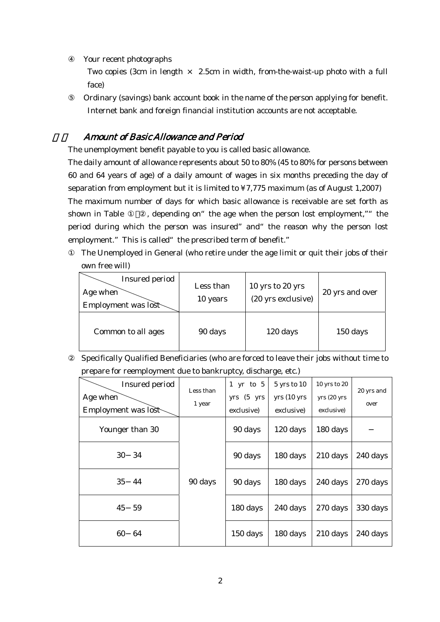Your recent photographs

Two copies (3cm in length  $\times$  2.5cm in width, from-the-waist-up photo with a full face)

Ordinary (savings) bank account book in the name of the person applying for benefit. Internet bank and foreign financial institution accounts are not acceptable.

# 4. Amount of Basic Allowance and Period

The unemployment benefit payable to you is called basic allowance.

The daily amount of allowance represents about 50 to 80% (45 to 80% for persons between 60 and 64 years of age) of a daily amount of wages in six months preceding the day of separation from employment but it is limited to ¥7,775 maximum (as of August 1,2007) The maximum number of days for which basic allowance is receivable are set forth as shown in Table  $\qquad$ , depending on" the age when the person lost employment," the period during which the person was insured" and" the reason why the person lost employment." This is called" the prescribed term of benefit."

The Unemployed in General (who retire under the age limit or quit their jobs of their own free will)

| <b>Insured period</b><br>Age when<br>Employment was lost | Less than<br>10 years | 10 yrs to 20 yrs<br>(20 yrs exclusive) | 20 yrs and over |
|----------------------------------------------------------|-----------------------|----------------------------------------|-----------------|
| Common to all ages                                       | 90 days               | 120 days                               | 150 days        |

② Specifically Qualified Beneficiaries (who are forced to leave their jobs without time to prepare for reemployment due to bankruptcy, discharge, etc.)

| <b>Insured period</b><br>Age when<br>Employment was lost | Less than<br>1 year | 1 yr to $5$<br>$yrs$ (5 $yrs$ )<br>exclusive) | 5 yrs to 10<br>yrs(10 yrs)<br>exclusive) | 10 yrs to 20<br>yrs(20 yrs)<br>exclusive) | 20 yrs and<br>over |
|----------------------------------------------------------|---------------------|-----------------------------------------------|------------------------------------------|-------------------------------------------|--------------------|
| Younger than 30                                          | 90 days             | 90 days                                       | 120 days                                 | 180 days                                  |                    |
| 30 34                                                    |                     | 90 days                                       | 180 days                                 | $210$ days                                | 240 days           |
| 35 44                                                    |                     | 90 days                                       | 180 days                                 | 240 days                                  | 270 days           |
| 59<br>45                                                 |                     | 180 days                                      | 240 days                                 | 270 days                                  | 330 days           |
| 64<br>60                                                 |                     | 150 days                                      | 180 days                                 | $210$ days                                | $240$ days         |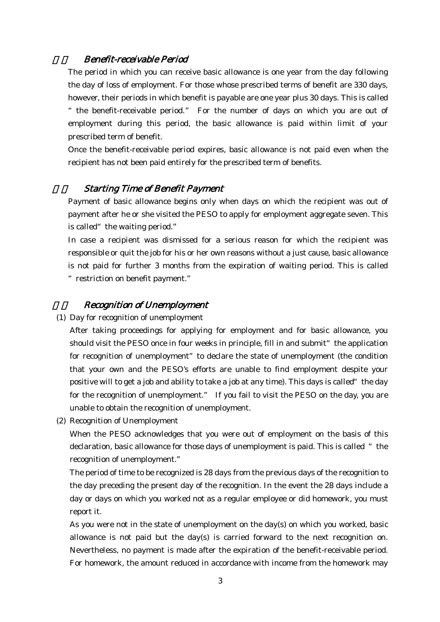### 5. Benefit-receivable Period

The period in which you can receive basic allowance is one year from the day following the day of loss of employment. For those whose prescribed terms of benefit are 330 days, however, their periods in which benefit is payable are one year plus 30 days. This is called "the benefit-receivable period." For the number of days on which you are out of employment during this period, the basic allowance is paid within limit of your prescribed term of benefit.

Once the benefit-receivable period expires, basic allowance is not paid even when the recipient has not been paid entirely for the prescribed term of benefits.

#### **Starting Time of Benefit Payment**

Payment of basic allowance begins only when days on which the recipient was out of payment after he or she visited the PESO to apply for employment aggregate seven. This is called" the waiting period."

In case a recipient was dismissed for a serious reason for which the recipient was responsible or quit the job for his or her own reasons without a just cause, basic allowance is not paid for further 3 months from the expiration of waiting period. This is called "restriction on benefit payment."

## 7. Recognition of Unemployment

(1) Day for recognition of unemployment

After taking proceedings for applying for employment and for basic allowance, you should visit the PESO once in four weeks in principle, fill in and submit" the application for recognition of unemployment" to declare the state of unemployment (the condition that your own and the PESO's efforts are unable to find employment despite your positive will to get a job and ability to take a job at any time). This days is called the day for the recognition of unemployment." If you fail to visit the PESO on the day, you are unable to obtain the recognition of unemployment.

(2) Recognition of Unemployment

When the PESO acknowledges that you were out of employment on the basis of this declaration, basic allowance for those days of unemployment is paid. This is called "the recognition of unemployment."

The period of time to be recognized is 28 days from the previous days of the recognition to the day preceding the present day of the recognition. In the event the 28 days include a day or days on which you worked not as a regular employee or did homework, you must report it.

As you were not in the state of unemployment on the day(s) on which you worked, basic allowance is not paid but the day(s) is carried forward to the next recognition on. Nevertheless, no payment is made after the expiration of the benefit-receivable period. For homework, the amount reduced in accordance with income from the homework may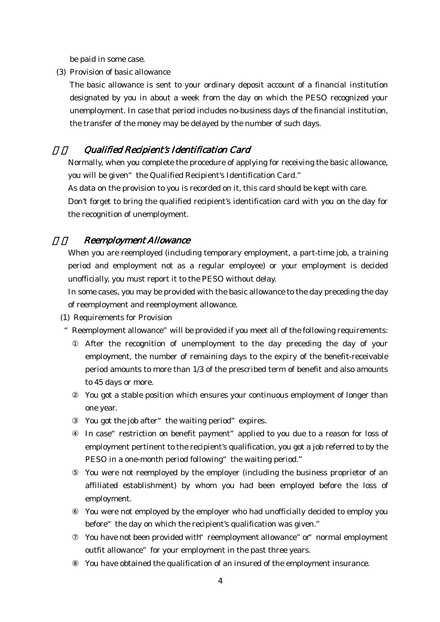be paid in some case.

(3) Provision of basic allowance

The basic allowance is sent to your ordinary deposit account of a financial institution designated by you in about a week from the day on which the PESO recognized your unemployment. In case that period includes no-business days of the financial institution, the transfer of the money may be delayed by the number of such days.

# 8. Qualified Recipient's Identification Card

Normally, when you complete the procedure of applying for receiving the basic allowance, you will be given" the Qualified Recipient's Identification Card."

As data on the provision to you is recorded on it, this card should be kept with care.

Don't forget to bring the qualified recipient's identification card with you on the day for the recognition of unemployment.

## 9. Reemployment Allowance

When you are reemployed (including temporary employment, a part-time job, a training period and employment not as a regular employee) or your employment is decided unofficially, you must report it to the PESO without delay.

 In some cases, you may be provided with the basic allowance to the day preceding the day of reemployment and reemployment allowance.

- (1) Requirements for Provision
	- "Reemployment allowance"will be provided if you meet all of the following requirements: After the recognition of unemployment to the day preceding the day of your employment, the number of remaining days to the expiry of the benefit-receivable period amounts to more than 1/3 of the prescribed term of benefit and also amounts to 45 days or more.

You got a stable position which ensures your continuous employment of longer than one year.

You got the job after" the waiting period" expires.

In case" restriction on benefit payment" applied to you due to a reason for loss of employment pertinent to the recipient's qualification, you got a job referred to by the PESO in a one-month period following" the waiting period."

You were not reemployed by the employer (including the business proprietor of an affiliated establishment) by whom you had been employed before the loss of employment.

You were not employed by the employer who had unofficially decided to employ you before" the day on which the recipient's qualification was given."

You have not been provided with reemployment allowance" or normal employment outfit allowance" for your employment in the past three years.

You have obtained the qualification of an insured of the employment insurance.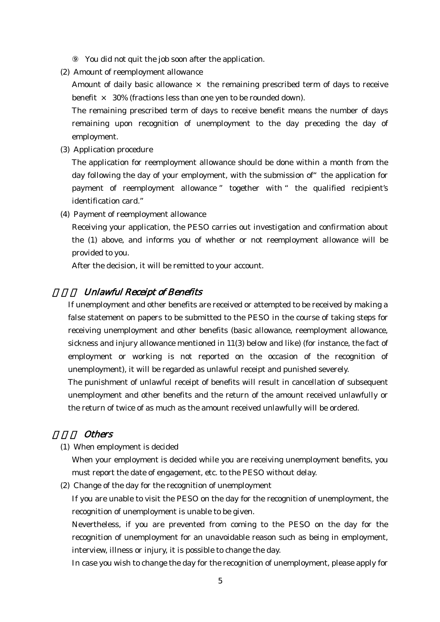You did not quit the job soon after the application.

(2) Amount of reemployment allowance

Amount of daily basic allowance  $\times$  the remaining prescribed term of days to receive benefit  $\times$  30% (fractions less than one yen to be rounded down).

The remaining prescribed term of days to receive benefit means the number of days remaining upon recognition of unemployment to the day preceding the day of employment.

(3) Application procedure

 The application for reemployment allowance should be done within a month from the day following the day of your employment, with the submission of the application for payment of reemployment allowance " together with " the qualified recipient's identification card."

(4) Payment of reemployment allowance

Receiving your application, the PESO carries out investigation and confirmation about the (1) above, and informs you of whether or not reemployment allowance will be provided to you.

After the decision, it will be remitted to your account.

# **Unlawful Receipt of Benefits**

 If unemployment and other benefits are received or attempted to be received by making a false statement on papers to be submitted to the PESO in the course of taking steps for receiving unemployment and other benefits (basic allowance, reemployment allowance, sickness and injury allowance mentioned in 11(3) below and like) (for instance, the fact of employment or working is not reported on the occasion of the recognition of unemployment), it will be regarded as unlawful receipt and punished severely.

The punishment of unlawful receipt of benefits will result in cancellation of subsequent unemployment and other benefits and the return of the amount received unlawfully or the return of twice of as much as the amount received unlawfully will be ordered.

# **Others**

(1) When employment is decided

 When your employment is decided while you are receiving unemployment benefits, you must report the date of engagement, etc. to the PESO without delay.

(2) Change of the day for the recognition of unemployment

 If you are unable to visit the PESO on the day for the recognition of unemployment, the recognition of unemployment is unable to be given.

 Nevertheless, if you are prevented from coming to the PESO on the day for the recognition of unemployment for an unavoidable reason such as being in employment, interview, illness or injury, it is possible to change the day.

In case you wish to change the day for the recognition of unemployment, please apply for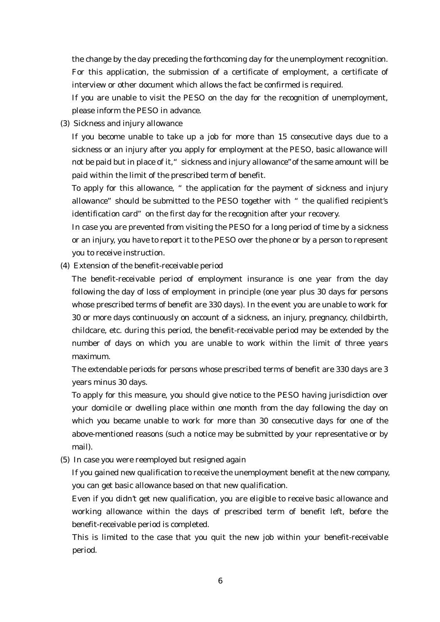the change by the day preceding the forthcoming day for the unemployment recognition. For this application, the submission of a certificate of employment, a certificate of interview or other document which allows the fact be confirmed is required.

 If you are unable to visit the PESO on the day for the recognition of unemployment, please inform the PESO in advance.

(3) Sickness and injury allowance

 If you become unable to take up a job for more than 15 consecutive days due to a sickness or an injury after you apply for employment at the PESO, basic allowance will not be paid but in place of it, " sickness and injury allowance" of the same amount will be paid within the limit of the prescribed term of benefit.

 To apply for this allowance, "the application for the payment of sickness and injury allowance" should be submitted to the PESO together with "the qualified recipient's identification card" on the first day for the recognition after your recovery.

 In case you are prevented from visiting the PESO for a long period of time by a sickness or an injury, you have to report it to the PESO over the phone or by a person to represent you to receive instruction.

(4) Extension of the benefit-receivable period

 The benefit-receivable period of employment insurance is one year from the day following the day of loss of employment in principle (one year plus 30 days for persons whose prescribed terms of benefit are 330 days). In the event you are unable to work for 30 or more days continuously on account of a sickness, an injury, pregnancy, childbirth, childcare, etc. during this period, the benefit-receivable period may be extended by the number of days on which you are unable to work within the limit of three years maximum.

The extendable periods for persons whose prescribed terms of benefit are 330 days are 3 years minus 30 days.

 To apply for this measure, you should give notice to the PESO having jurisdiction over your domicile or dwelling place within one month from the day following the day on which you became unable to work for more than 30 consecutive days for one of the above-mentioned reasons (such a notice may be submitted by your representative or by mail).

(5) In case you were reemployed but resigned again

 If you gained new qualification to receive the unemployment benefit at the new company, you can get basic allowance based on that new qualification.

 Even if you didn't get new qualification, you are eligible to receive basic allowance and working allowance within the days of prescribed term of benefit left, before the benefit-receivable period is completed.

This is limited to the case that you quit the new job within your benefit-receivable period.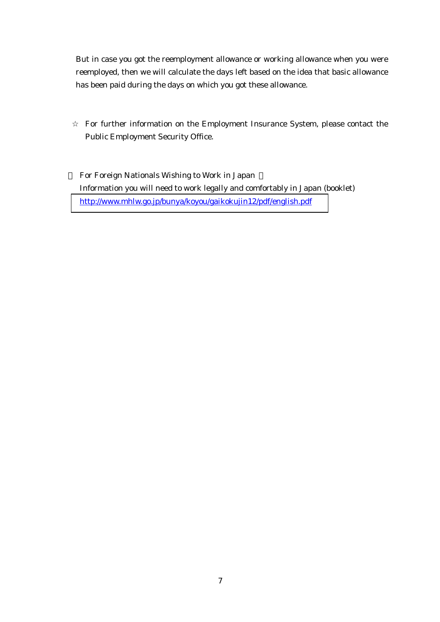But in case you got the reemployment allowance or working allowance when you were reemployed, then we will calculate the days left based on the idea that basic allowance has been paid during the days on which you got these allowance.

For further information on the Employment Insurance System, please contact the Public Employment Security Office.

For Foreign Nationals Wishing to Work in Japan Information you will need to work legally and comfortably in Japan (booklet) <http://www.mhlw.go.jp/bunya/koyou/gaikokujin12/pdf/english.pdf>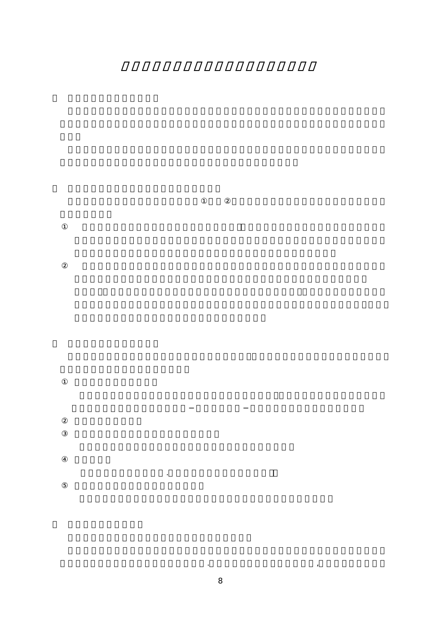$\overline{R}$ 

 $2\sqrt{2}$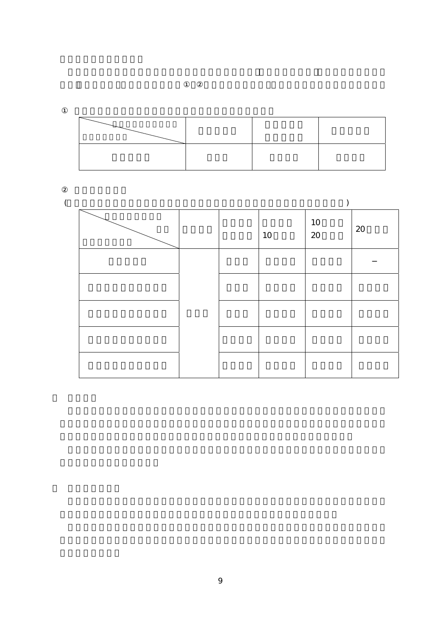| ( |  |  |  |        |              |        |
|---|--|--|--|--------|--------------|--------|
|   |  |  |  | $10\,$ | 10<br>$20\,$ | $20\,$ |
|   |  |  |  |        |              |        |
|   |  |  |  |        |              |        |
|   |  |  |  |        |              |        |
|   |  |  |  |        |              |        |
|   |  |  |  |        |              |        |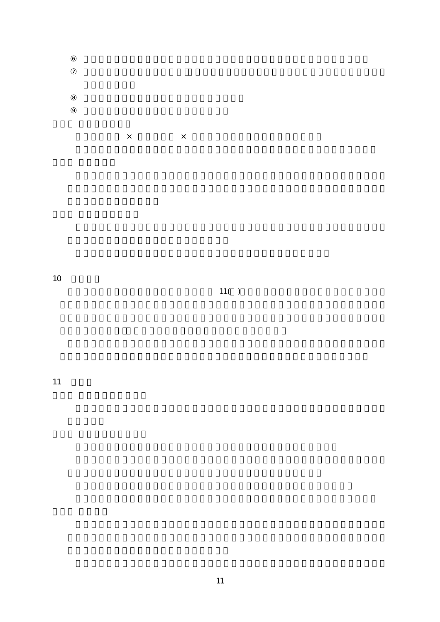$10$ 

 $11()$ 

 $\times$   $\times$ 

 $11$